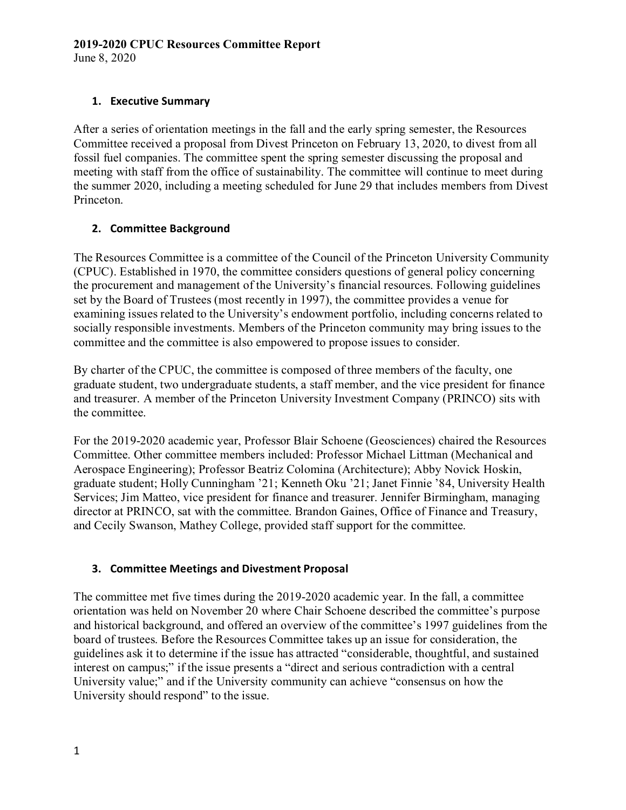## **2019-2020 CPUC Resources Committee Report**

June 8, 2020

## **1. Executive Summary**

After a series of orientation meetings in the fall and the early spring semester, the Resources Committee received a proposal from Divest Princeton on February 13, 2020, to divest from all fossil fuel companies. The committee spent the spring semester discussing the proposal and meeting with staff from the office of sustainability. The committee will continue to meet during the summer 2020, including a meeting scheduled for June 29 that includes members from Divest Princeton.

# **2. Committee Background**

The Resources Committee is a committee of the Council of the Princeton University Community (CPUC). Established in 1970, the committee considers questions of general policy concerning the procurement and management of the University's financial resources. Following guidelines set by the Board of Trustees (most recently in 1997), the committee provides a venue for examining issues related to the University's endowment portfolio, including concerns related to socially responsible investments. Members of the Princeton community may bring issues to the committee and the committee is also empowered to propose issues to consider.

By charter of the CPUC, the committee is composed of three members of the faculty, one graduate student, two undergraduate students, a staff member, and the vice president for finance and treasurer. A member of the Princeton University Investment Company (PRINCO) sits with the committee.

For the 2019-2020 academic year, Professor Blair Schoene (Geosciences) chaired the Resources Committee. Other committee members included: Professor Michael Littman (Mechanical and Aerospace Engineering); Professor Beatriz Colomina (Architecture); Abby Novick Hoskin, graduate student; Holly Cunningham '21; Kenneth Oku '21; Janet Finnie '84, University Health Services; Jim Matteo, vice president for finance and treasurer. Jennifer Birmingham, managing director at PRINCO, sat with the committee. Brandon Gaines, Office of Finance and Treasury, and Cecily Swanson, Mathey College, provided staff support for the committee.

## **3. Committee Meetings and Divestment Proposal**

The committee met five times during the 2019-2020 academic year. In the fall, a committee orientation was held on November 20 where Chair Schoene described the committee's purpose and historical background, and offered an overview of the committee's 1997 guidelines from the board of trustees. Before the Resources Committee takes up an issue for consideration, the guidelines ask it to determine if the issue has attracted "considerable, thoughtful, and sustained interest on campus;" if the issue presents a "direct and serious contradiction with a central University value;" and if the University community can achieve "consensus on how the University should respond" to the issue.